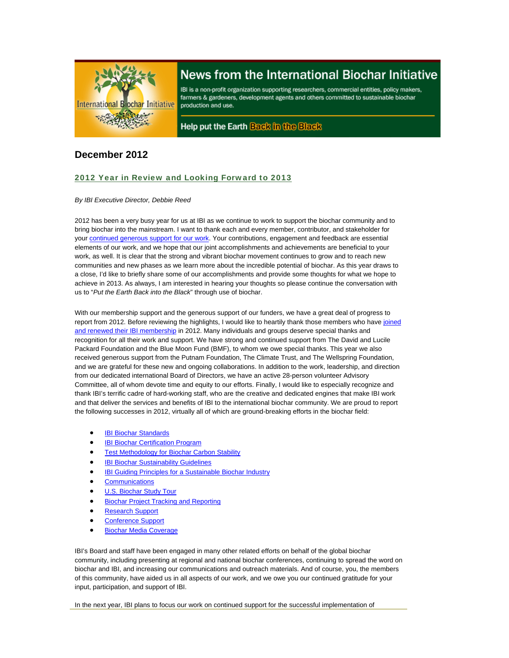

# News from the International Biochar Initiative

IBI is a non-profit organization supporting researchers, commercial entities, policy makers, farmers & gardeners, development agents and others committed to sustainable biochar production and use.

Help put the Earth Back in the Black

## **December 2012**

## 2012 Year in Review and Looking Forward to 2013

## *By IBI Executive Director, Debbie Reed*

2012 has been a very busy year for us at IBI as we continue to work to support the biochar community and to bring biochar into the mainstream. I want to thank each and every member, contributor, and stakeholder for your continued generous support for our work. Your contributions, engagement and feedback are essential elements of our work, and we hope that our joint accomplishments and achievements are beneficial to your work, as well. It is clear that the strong and vibrant biochar movement continues to grow and to reach new communities and new phases as we learn more about the incredible potential of biochar. As this year draws to a close, I'd like to briefly share some of our accomplishments and provide some thoughts for what we hope to achieve in 2013. As always, I am interested in hearing your thoughts so please continue the conversation with us to "*Put the Earth Back into the Black*" through use of biochar.

With our membership support and the generous support of our funders, we have a great deal of progress to report from 2012. Before reviewing the highlights, I would like to heartily thank those members who have joined and renewed their IBI membership in 2012. Many individuals and groups deserve special thanks and recognition for all their work and support. We have strong and continued support from The David and Lucile Packard Foundation and the Blue Moon Fund (BMF), to whom we owe special thanks. This year we also received generous support from the Putnam Foundation, The Climate Trust, and The Wellspring Foundation, and we are grateful for these new and ongoing collaborations. In addition to the work, leadership, and direction from our dedicated international Board of Directors, we have an active 28-person volunteer Advisory Committee, all of whom devote time and equity to our efforts. Finally, I would like to especially recognize and thank IBI's terrific cadre of hard-working staff, who are the creative and dedicated engines that make IBI work and that deliver the services and benefits of IBI to the international biochar community. We are proud to report the following successes in 2012, virtually all of which are ground-breaking efforts in the biochar field:

- IBI Biochar Standards
- IBI Biochar Certification Program
- **•** Test Methodology for Biochar Carbon Stability
- **IBI Biochar Sustainability Guidelines**
- IBI Guiding Principles for a Sustainable Biochar Industry
- Communications
- U.S. Biochar Study Tour
- Biochar Project Tracking and Reporting
- Research Support
- Conference Support
- Biochar Media Coverage

IBI's Board and staff have been engaged in many other related efforts on behalf of the global biochar community, including presenting at regional and national biochar conferences, continuing to spread the word on biochar and IBI, and increasing our communications and outreach materials. And of course, you, the members of this community, have aided us in all aspects of our work, and we owe you our continued gratitude for your input, participation, and support of IBI.

In the next year, IBI plans to focus our work on continued support for the successful implementation of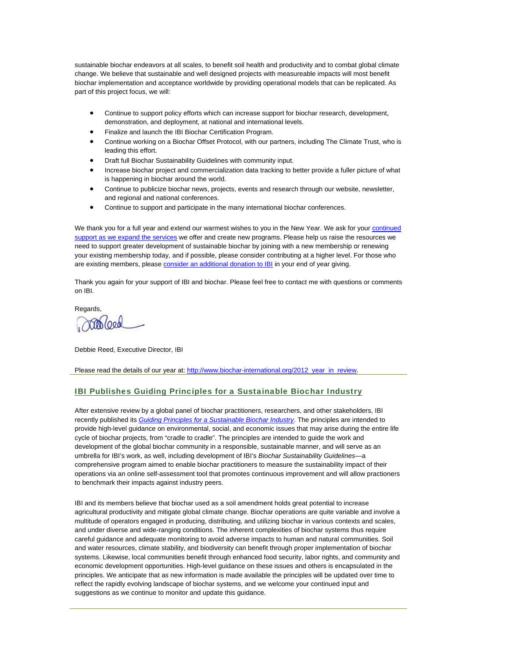sustainable biochar endeavors at all scales, to benefit soil health and productivity and to combat global climate change. We believe that sustainable and well designed projects with measureable impacts will most benefit biochar implementation and acceptance worldwide by providing operational models that can be replicated. As part of this project focus, we will:

- Continue to support policy efforts which can increase support for biochar research, development, demonstration, and deployment, at national and international levels.
- Finalize and launch the IBI Biochar Certification Program.
- Continue working on a Biochar Offset Protocol, with our partners, including The Climate Trust, who is leading this effort.
- Draft full Biochar Sustainability Guidelines with community input.
- Increase biochar project and commercialization data tracking to better provide a fuller picture of what is happening in biochar around the world.
- Continue to publicize biochar news, projects, events and research through our website, newsletter, and regional and national conferences.
- Continue to support and participate in the many international biochar conferences.

We thank you for a full year and extend our warmest wishes to you in the New Year. We ask for your continued support as we expand the services we offer and create new programs. Please help us raise the resources we need to support greater development of sustainable biochar by joining with a new membership or renewing your existing membership today, and if possible, please consider contributing at a higher level. For those who are existing members, please consider an additional donation to IBI in your end of year giving.

Thank you again for your support of IBI and biochar. Please feel free to contact me with questions or comments on IBI.

**Regards** 

 $10000$ 

Debbie Reed, Executive Director, IBI

Please read the details of our year at: http://www.biochar-international.org/2012\_year\_in\_review.

## IBI Publishes Guiding Principles for a Sustainable Biochar Industry

After extensive review by a global panel of biochar practitioners, researchers, and other stakeholders, IBI recently published its *Guiding Principles for a Sustainable Biochar Industry*. The principles are intended to provide high-level guidance on environmental, social, and economic issues that may arise during the entire life cycle of biochar projects, from "cradle to cradle". The principles are intended to guide the work and development of the global biochar community in a responsible, sustainable manner, and will serve as an umbrella for IBI's work, as well, including development of IBI's *Biochar Sustainability Guidelines*—a comprehensive program aimed to enable biochar practitioners to measure the sustainability impact of their operations via an online self-assessment tool that promotes continuous improvement and will allow practioners to benchmark their impacts against industry peers.

IBI and its members believe that biochar used as a soil amendment holds great potential to increase agricultural productivity and mitigate global climate change. Biochar operations are quite variable and involve a multitude of operators engaged in producing, distributing, and utilizing biochar in various contexts and scales, and under diverse and wide-ranging conditions. The inherent complexities of biochar systems thus require careful guidance and adequate monitoring to avoid adverse impacts to human and natural communities. Soil and water resources, climate stability, and biodiversity can benefit through proper implementation of biochar systems. Likewise, local communities benefit through enhanced food security, labor rights, and community and economic development opportunities. High-level guidance on these issues and others is encapsulated in the principles. We anticipate that as new information is made available the principles will be updated over time to reflect the rapidly evolving landscape of biochar systems, and we welcome your continued input and suggestions as we continue to monitor and update this guidance.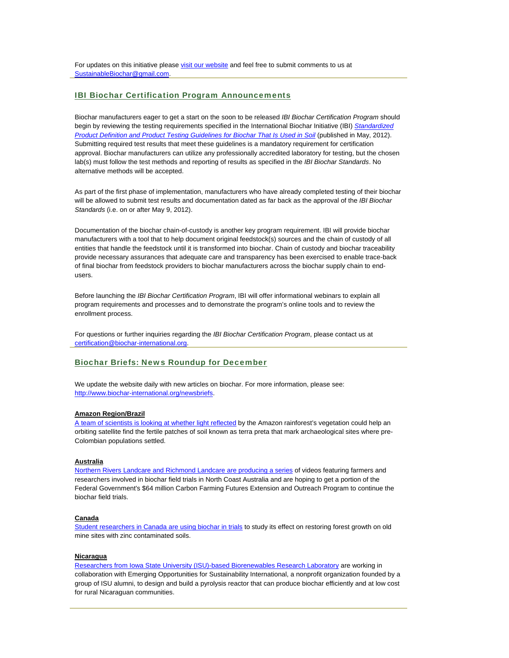For updates on this initiative please visit our website and feel free to submit comments to us at SustainableBiochar@gmail.com.

## IBI Biochar Certification Program Announcements

Biochar manufacturers eager to get a start on the soon to be released *IBI Biochar Certification Program* should begin by reviewing the testing requirements specified in the International Biochar Initiative (IBI) *Standardized Product Definition and Product Testing Guidelines for Biochar That Is Used in Soil* (published in May, 2012). Submitting required test results that meet these guidelines is a mandatory requirement for certification approval. Biochar manufacturers can utilize any professionally accredited laboratory for testing, but the chosen lab(s) must follow the test methods and reporting of results as specified in the *IBI Biochar Standards*. No alternative methods will be accepted.

As part of the first phase of implementation, manufacturers who have already completed testing of their biochar will be allowed to submit test results and documentation dated as far back as the approval of the *IBI Biochar Standards* (i.e. on or after May 9, 2012).

Documentation of the biochar chain-of-custody is another key program requirement. IBI will provide biochar manufacturers with a tool that to help document original feedstock(s) sources and the chain of custody of all entities that handle the feedstock until it is transformed into biochar. Chain of custody and biochar traceability provide necessary assurances that adequate care and transparency has been exercised to enable trace-back of final biochar from feedstock providers to biochar manufacturers across the biochar supply chain to endusers.

Before launching the *IBI Biochar Certification Program*, IBI will offer informational webinars to explain all program requirements and processes and to demonstrate the program's online tools and to review the enrollment process.

For questions or further inquiries regarding the *IBI Biochar Certification Program*, please contact us at certification@biochar-international.org.

## Biochar Briefs: News Roundup for December

We update the website daily with new articles on biochar. For more information, please see: http://www.biochar-international.org/newsbriefs.

#### **Amazon Region/Brazil**

A team of scientists is looking at whether light reflected by the Amazon rainforest's vegetation could help an orbiting satellite find the fertile patches of soil known as terra preta that mark archaeological sites where pre-Colombian populations settled.

## **Australia**

Northern Rivers Landcare and Richmond Landcare are producing a series of videos featuring farmers and researchers involved in biochar field trials in North Coast Australia and are hoping to get a portion of the Federal Government's \$64 million Carbon Farming Futures Extension and Outreach Program to continue the biochar field trials.

#### **Canada**

Student researchers in Canada are using biochar in trials to study its effect on restoring forest growth on old mine sites with zinc contaminated soils.

### **Nicaragua**

Researchers from Iowa State University (ISU)-based Biorenewables Research Laboratory are working in collaboration with Emerging Opportunities for Sustainability International, a nonprofit organization founded by a group of ISU alumni, to design and build a pyrolysis reactor that can produce biochar efficiently and at low cost for rural Nicaraguan communities.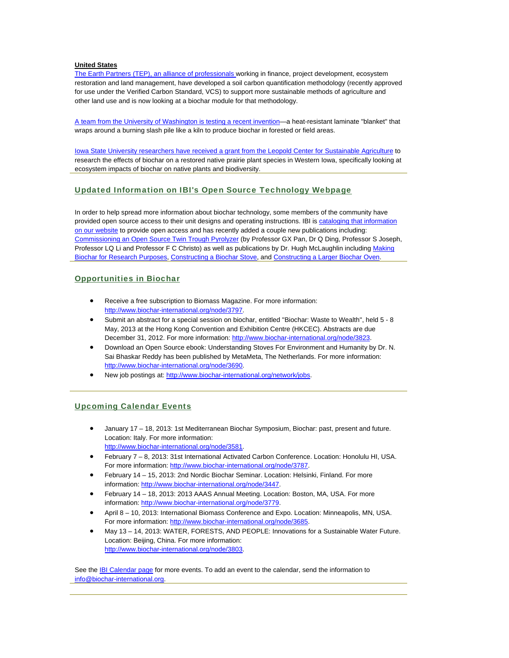### **United States**

The Earth Partners (TEP), an alliance of professionals working in finance, project development, ecosystem restoration and land management, have developed a soil carbon quantification methodology (recently approved for use under the Verified Carbon Standard, VCS) to support more sustainable methods of agriculture and other land use and is now looking at a biochar module for that methodology.

A team from the University of Washington is testing a recent invention—a heat-resistant laminate "blanket" that wraps around a burning slash pile like a kiln to produce biochar in forested or field areas.

Iowa State University researchers have received a grant from the Leopold Center for Sustainable Agriculture to research the effects of biochar on a restored native prairie plant species in Western Iowa, specifically looking at ecosystem impacts of biochar on native plants and biodiversity.

## Updated Information on IBI's Open Source Technology Webpage

In order to help spread more information about biochar technology, some members of the community have provided open source access to their unit designs and operating instructions. IBI is cataloging that information on our website to provide open access and has recently added a couple new publications including: Commissioning an Open Source Twin Trough Pyrolyzer (by Professor GX Pan, Dr Q Ding, Professor S Joseph, Professor LQ Li and Professor F C Christo) as well as publications by Dr. Hugh McLaughlin including Making Biochar for Research Purposes, Constructing a Biochar Stove, and Constructing a Larger Biochar Oven.

## Opportunities in Biochar

- Receive a free subscription to Biomass Magazine. For more information: http://www.biochar-international.org/node/3797.
- Submit an abstract for a special session on biochar, entitled ''Biochar: Waste to Wealth'', held 5 8 May, 2013 at the Hong Kong Convention and Exhibition Centre (HKCEC). Abstracts are due December 31, 2012. For more information: http://www.biochar-international.org/node/3823.
- Download an Open Source ebook: Understanding Stoves For Environment and Humanity by Dr. N. Sai Bhaskar Reddy has been published by MetaMeta, The Netherlands. For more information: http://www.biochar-international.org/node/3690.
- New job postings at: http://www.biochar-international.org/network/jobs.

## Upcoming Calendar Events

- January 17 18, 2013: 1st Mediterranean Biochar Symposium, Biochar: past, present and future. Location: Italy. For more information: http://www.biochar-international.org/node/3581.
- February 7 8, 2013: 31st International Activated Carbon Conference. Location: Honolulu HI, USA. For more information: http://www.biochar-international.org/node/3787.
- February 14 15, 2013: 2nd Nordic Biochar Seminar. Location: Helsinki, Finland. For more information: http://www.biochar-international.org/node/3447.
- February 14 18, 2013: 2013 AAAS Annual Meeting. Location: Boston, MA, USA. For more information: http://www.biochar-international.org/node/3779.
- April 8 10, 2013: International Biomass Conference and Expo. Location: Minneapolis, MN, USA. For more information: http://www.biochar-international.org/node/3685.
- May 13 14, 2013: WATER, FORESTS, AND PEOPLE: Innovations for a Sustainable Water Future. Location: Beijing, China. For more information: http://www.biochar-international.org/node/3803.

See the **IBI Calendar page for more events**. To add an event to the calendar, send the information to info@biochar-international.org.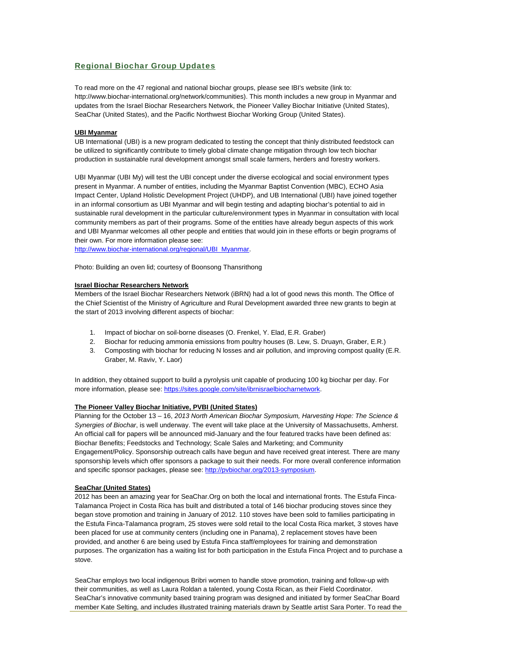## Regional Biochar Group Updates

To read more on the 47 regional and national biochar groups, please see IBI's website (link to: http://www.biochar-international.org/network/communities). This month includes a new group in Myanmar and updates from the Israel Biochar Researchers Network, the Pioneer Valley Biochar Initiative (United States), SeaChar (United States), and the Pacific Northwest Biochar Working Group (United States).

#### **UBI Myanmar**

UB International (UBI) is a new program dedicated to testing the concept that thinly distributed feedstock can be utilized to significantly contribute to timely global climate change mitigation through low tech biochar production in sustainable rural development amongst small scale farmers, herders and forestry workers.

UBI Myanmar (UBI My) will test the UBI concept under the diverse ecological and social environment types present in Myanmar. A number of entities, including the Myanmar Baptist Convention (MBC), ECHO Asia Impact Center, Upland Holistic Development Project (UHDP), and UB International (UBI) have joined together in an informal consortium as UBI Myanmar and will begin testing and adapting biochar's potential to aid in sustainable rural development in the particular culture/environment types in Myanmar in consultation with local community members as part of their programs. Some of the entities have already begun aspects of this work and UBI Myanmar welcomes all other people and entities that would join in these efforts or begin programs of their own. For more information please see:

http://www.biochar-international.org/regional/UBI\_Myanmar.

Photo: Building an oven lid; courtesy of Boonsong Thansrithong

#### **Israel Biochar Researchers Network**

Members of the Israel Biochar Researchers Network (iBRN) had a lot of good news this month. The Office of the Chief Scientist of the Ministry of Agriculture and Rural Development awarded three new grants to begin at the start of 2013 involving different aspects of biochar:

- 1. Impact of biochar on soil-borne diseases (O. Frenkel, Y. Elad, E.R. Graber)
- 2. Biochar for reducing ammonia emissions from poultry houses (B. Lew, S. Druayn, Graber, E.R.)
- 3. Composting with biochar for reducing N losses and air pollution, and improving compost quality (E.R. Graber, M. Raviv, Y. Laor)

In addition, they obtained support to build a pyrolysis unit capable of producing 100 kg biochar per day. For more information, please see: https://sites.google.com/site/ibrnisraelbiocharnetwork.

#### **The Pioneer Valley Biochar Initiative, PVBI (United States)**

Planning for the October 13 – 16, *2013 North American Biochar Symposium, Harvesting Hope: The Science & Synergies of Biochar*, is well underway. The event will take place at the University of Massachusetts, Amherst. An official call for papers will be announced mid-January and the four featured tracks have been defined as: Biochar Benefits; Feedstocks and Technology; Scale Sales and Marketing; and Community Engagement/Policy. Sponsorship outreach calls have begun and have received great interest. There are many sponsorship levels which offer sponsors a package to suit their needs. For more overall conference information and specific sponsor packages, please see: http://pvbiochar.org/2013-symposium.

#### **SeaChar (United States)**

2012 has been an amazing year for SeaChar.Org on both the local and international fronts. The Estufa Finca-Talamanca Project in Costa Rica has built and distributed a total of 146 biochar producing stoves since they began stove promotion and training in January of 2012. 110 stoves have been sold to families participating in the Estufa Finca-Talamanca program, 25 stoves were sold retail to the local Costa Rica market, 3 stoves have been placed for use at community centers (including one in Panama), 2 replacement stoves have been provided, and another 6 are being used by Estufa Finca staff/employees for training and demonstration purposes. The organization has a waiting list for both participation in the Estufa Finca Project and to purchase a stove.

SeaChar employs two local indigenous Bribri women to handle stove promotion, training and follow-up with their communities, as well as Laura Roldan a talented, young Costa Rican, as their Field Coordinator. SeaChar's innovative community based training program was designed and initiated by former SeaChar Board member Kate Selting, and includes illustrated training materials drawn by Seattle artist Sara Porter. To read the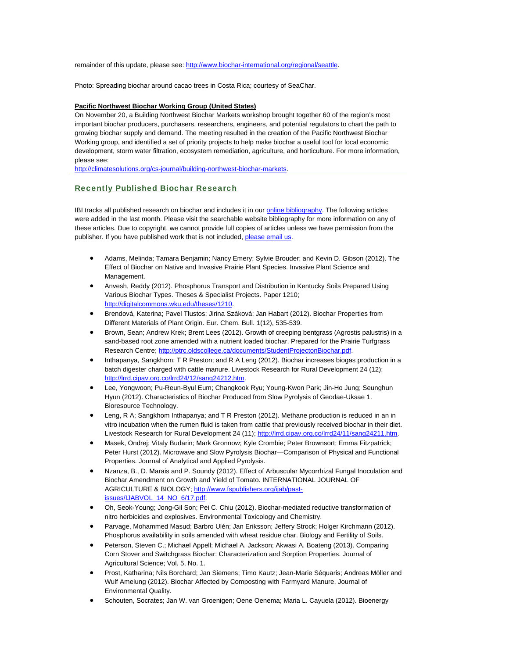remainder of this update, please see: http://www.biochar-international.org/regional/seattle.

Photo: Spreading biochar around cacao trees in Costa Rica; courtesy of SeaChar.

#### **Pacific Northwest Biochar Working Group (United States)**

On November 20, a Building Northwest Biochar Markets workshop brought together 60 of the region's most important biochar producers, purchasers, researchers, engineers, and potential regulators to chart the path to growing biochar supply and demand. The meeting resulted in the creation of the Pacific Northwest Biochar Working group, and identified a set of priority projects to help make biochar a useful tool for local economic development, storm water filtration, ecosystem remediation, agriculture, and horticulture. For more information, please see:

http://climatesolutions.org/cs-journal/building-northwest-biochar-markets.

## Recently Published Biochar Research

IBI tracks all published research on biochar and includes it in our **online bibliography**. The following articles were added in the last month. Please visit the searchable website bibliography for more information on any of these articles. Due to copyright, we cannot provide full copies of articles unless we have permission from the publisher. If you have published work that is not included, please email us.

- Adams, Melinda; Tamara Benjamin; Nancy Emery; Sylvie Brouder; and Kevin D. Gibson (2012). The Effect of Biochar on Native and Invasive Prairie Plant Species. Invasive Plant Science and Management.
- Anvesh, Reddy (2012). Phosphorus Transport and Distribution in Kentucky Soils Prepared Using Various Biochar Types. Theses & Specialist Projects. Paper 1210; http://digitalcommons.wku.edu/theses/1210.
- Brendová, Katerina; Pavel Tlustos; Jirina Száková; Jan Habart (2012). Biochar Properties from Different Materials of Plant Origin. Eur. Chem. Bull. 1(12), 535-539.
- Brown, Sean; Andrew Krek; Brent Lees (2012). Growth of creeping bentgrass (Agrostis palustris) in a sand-based root zone amended with a nutrient loaded biochar. Prepared for the Prairie Turfgrass Research Centre; http://ptrc.oldscollege.ca/documents/StudentProjectonBiochar.pdf.
- Inthapanya, Sangkhom; T R Preston; and R A Leng (2012). Biochar increases biogas production in a batch digester charged with cattle manure. Livestock Research for Rural Development 24 (12); http://lrrd.cipav.org.co/lrrd24/12/sang24212.htm.
- Lee, Yongwoon; Pu-Reun-Byul Eum; Changkook Ryu; Young-Kwon Park; Jin-Ho Jung; Seunghun Hyun (2012). Characteristics of Biochar Produced from Slow Pyrolysis of Geodae-Uksae 1. Bioresource Technology.
- Leng, R A; Sangkhom Inthapanya; and T R Preston (2012). Methane production is reduced in an in vitro incubation when the rumen fluid is taken from cattle that previously received biochar in their diet. Livestock Research for Rural Development 24 (11); http://lrrd.cipav.org.co/lrrd24/11/sang24211.htm.
- Masek, Ondrej; Vitaly Budarin; Mark Gronnow; Kyle Crombie; Peter Brownsort; Emma Fitzpatrick; Peter Hurst (2012). Microwave and Slow Pyrolysis Biochar—Comparison of Physical and Functional Properties. Journal of Analytical and Applied Pyrolysis.
- Nzanza, B., D. Marais and P. Soundy (2012). Effect of Arbuscular Mycorrhizal Fungal Inoculation and Biochar Amendment on Growth and Yield of Tomato. INTERNATIONAL JOURNAL OF AGRICULTURE & BIOLOGY; http://www.fspublishers.org/ijab/pastissues/IJABVOL\_14\_NO\_6/17.pdf.
- Oh, Seok-Young; Jong-Gil Son; Pei C. Chiu (2012). Biochar-mediated reductive transformation of nitro herbicides and explosives. Environmental Toxicology and Chemistry.
- Parvage, Mohammed Masud; Barbro Ulén; Jan Eriksson; Jeffery Strock; Holger Kirchmann (2012). Phosphorus availability in soils amended with wheat residue char. Biology and Fertility of Soils.
- Peterson, Steven C.; Michael Appell; Michael A. Jackson; Akwasi A. Boateng (2013). Comparing Corn Stover and Switchgrass Biochar: Characterization and Sorption Properties. Journal of Agricultural Science; Vol. 5, No. 1.
- Prost, Katharina; Nils Borchard; Jan Siemens; Timo Kautz; Jean-Marie Séquaris; Andreas Möller and Wulf Amelung (2012). Biochar Affected by Composting with Farmyard Manure. Journal of Environmental Quality.
- Schouten, Socrates; Jan W. van Groenigen; Oene Oenema; Maria L. Cayuela (2012). Bioenergy